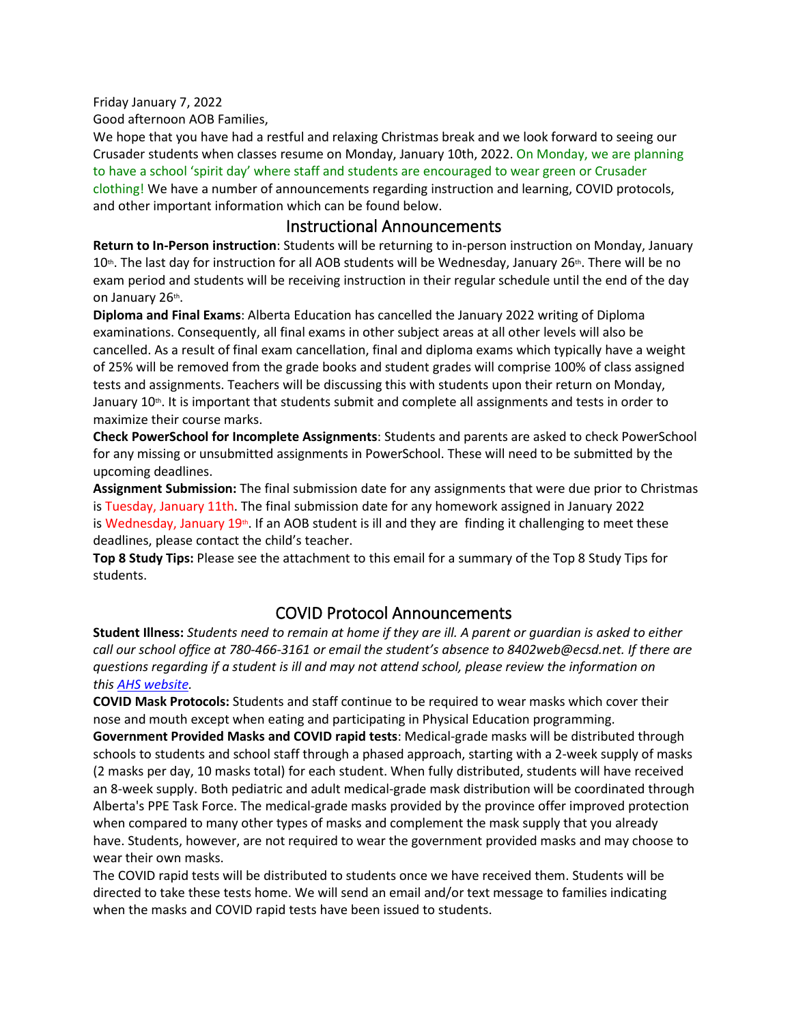Friday January 7, 2022

Good afternoon AOB Families,

We hope that you have had a restful and relaxing Christmas break and we look forward to seeing our Crusader students when classes resume on Monday, January 10th, 2022. On Monday, we are planning to have a school 'spirit day' where staff and students are encouraged to wear green or Crusader clothing! We have a number of announcements regarding instruction and learning, COVID protocols, and other important information which can be found below.

## Instructional Announcements

**Return to In-Person instruction**: Students will be returning to in-person instruction on Monday, January 10<sup>th</sup>. The last day for instruction for all AOB students will be Wednesday, January 26<sup>th</sup>. There will be no exam period and students will be receiving instruction in their regular schedule until the end of the day on January 26<sup>th</sup>.

**Diploma and Final Exams**: Alberta Education has cancelled the January 2022 writing of Diploma examinations. Consequently, all final exams in other subject areas at all other levels will also be cancelled. As a result of final exam cancellation, final and diploma exams which typically have a weight of 25% will be removed from the grade books and student grades will comprise 100% of class assigned tests and assignments. Teachers will be discussing this with students upon their return on Monday, January 10<sup>th</sup>. It is important that students submit and complete all assignments and tests in order to maximize their course marks.

**Check PowerSchool for Incomplete Assignments**: Students and parents are asked to check PowerSchool for any missing or unsubmitted assignments in PowerSchool. These will need to be submitted by the upcoming deadlines.

**Assignment Submission:** The final submission date for any assignments that were due prior to Christmas is Tuesday, January 11th. The final submission date for any homework assigned in January 2022 is Wednesday, January 19<sup>th</sup>. If an AOB student is ill and they are finding it challenging to meet these deadlines, please contact the child's teacher.

**Top 8 Study Tips:** Please see the attachment to this email for a summary of the Top 8 Study Tips for students.

## COVID Protocol Announcements

Student Illness: Students need to remain at home if they are ill. A parent or guardian is asked to either *call our school office at 780-466-3161 or email the student's absence to 8402web@ecsd.net. If there are questions regarding if a student is ill and may not attend school, please review the information on this AHS [website.](https://can01.safelinks.protection.outlook.com/?url=https%3A%2F%2Fwww.albertahealthservices.ca%2Ftopics%2FPage16998.aspx&data=04%7C01%7Csheryl.ogonoski%40ecsd.net%7Cdb9f7e1eed4846ecb03608d9d220e469%7Cb18d9f6f0743460da19b0b3297eeeb89%7C0%7C0%7C637771861303752948%7CUnknown%7CTWFpbGZsb3d8eyJWIjoiMC4wLjAwMDAiLCJQIjoiV2luMzIiLCJBTiI6Ik1haWwiLCJXVCI6Mn0%3D%7C3000&sdata=bt24ABDWc0bkshO0MjgxjwG70ep4rMHsjt9C%2Fb7Xmiw%3D&reserved=0)*

**COVID Mask Protocols:** Students and staff continue to be required to wear masks which cover their nose and mouth except when eating and participating in Physical Education programming. **Government Provided Masks and COVID rapid tests**: Medical-grade masks will be distributed through schools to students and school staff through a phased approach, starting with a 2-week supply of masks (2 masks per day, 10 masks total) for each student. When fully distributed, students will have received an 8-week supply. Both pediatric and adult medical-grade mask distribution will be coordinated through Alberta's PPE Task Force. The medical-grade masks provided by the province offer improved protection when compared to many other types of masks and complement the mask supply that you already have. Students, however, are not required to wear the government provided masks and may choose to wear their own masks.

The COVID rapid tests will be distributed to students once we have received them. Students will be directed to take these tests home. We will send an email and/or text message to families indicating when the masks and COVID rapid tests have been issued to students.